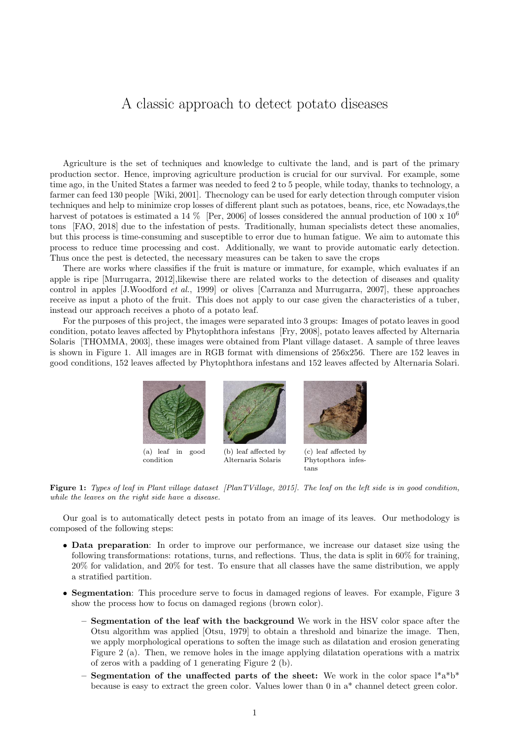## A classic approach to detect potato diseases

Agriculture is the set of techniques and knowledge to cultivate the land, and is part of the primary production sector. Hence, improving agriculture production is crucial for our survival. For example, some time ago, in the United States a farmer was needed to feed 2 to 5 people, while today, thanks to technology, a farmer can feed 130 people [Wiki, 2001]. Thecnology can be used for early detection through computer vision techniques and help to minimize crop losses of different plant such as potatoes, beans, rice, etc Nowadays,the harvest of potatoes is estimated a 14 % [Per, 2006] of losses considered the annual production of 100 x 10<sup>6</sup> tons [FAO, 2018] due to the infestation of pests. Traditionally, human specialists detect these anomalies, but this process is time-consuming and susceptible to error due to human fatigue. We aim to automate this process to reduce time processing and cost. Additionally, we want to provide automatic early detection. Thus once the pest is detected, the necessary measures can be taken to save the crops

There are works where classifies if the fruit is mature or immature, for example, which evaluates if an apple is ripe [Murrugarra, 2012],likewise there are related works to the detection of diseases and quality control in apples [J.Woodford et al., 1999] or olives [Carranza and Murrugarra, 2007], these approaches receive as input a photo of the fruit. This does not apply to our case given the characteristics of a tuber, instead our approach receives a photo of a potato leaf.

For the purposes of this project, the images were separated into 3 groups: Images of potato leaves in good condition, potato leaves affected by Phytophthora infestans [Fry, 2008], potato leaves affected by Alternaria Solaris [THOMMA, 2003], these images were obtained from Plant village dataset. A sample of three leaves is shown in Figure 1. All images are in RGB format with dimensions of 256x256. There are 152 leaves in good conditions, 152 leaves affected by Phytophthora infestans and 152 leaves affected by Alternaria Solari.



(a) leaf in good condition

(b) leaf affected by Alternaria Solaris

(c) leaf affected by Phytopthora infestans

Figure 1: Types of leaf in Plant village dataset [PlanTVillage, 2015]. The leaf on the left side is in good condition, while the leaves on the right side have a disease.

Our goal is to automatically detect pests in potato from an image of its leaves. Our methodology is composed of the following steps:

- Data preparation: In order to improve our performance, we increase our dataset size using the following transformations: rotations, turns, and reflections. Thus, the data is split in 60% for training, 20% for validation, and 20% for test. To ensure that all classes have the same distribution, we apply a stratified partition.
- Segmentation: This procedure serve to focus in damaged regions of leaves. For example, Figure 3 show the process how to focus on damaged regions (brown color).
	- Segmentation of the leaf with the background We work in the HSV color space after the Otsu algorithm was applied [Otsu, 1979] to obtain a threshold and binarize the image. Then, we apply morphological operations to soften the image such as dilatation and erosion generating Figure 2 (a). Then, we remove holes in the image applying dilatation operations with a matrix of zeros with a padding of 1 generating Figure 2 (b).
	- Segmentation of the unaffected parts of the sheet: We work in the color space  $l^*a^*b^*$ because is easy to extract the green color. Values lower than 0 in a\* channel detect green color.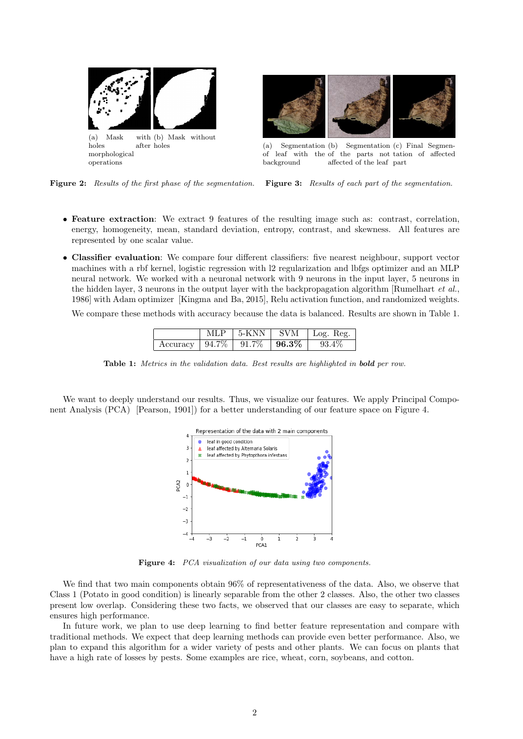



(a) Segmentation of leaf with the of the parts not tation of affected background (b) Segmentation (c) Final Segmenaffected of the leaf part

Figure 2: Results of the first phase of the segmentation.

Figure 3: Results of each part of the segmentation.

- Feature extraction: We extract 9 features of the resulting image such as: contrast, correlation, energy, homogeneity, mean, standard deviation, entropy, contrast, and skewness. All features are represented by one scalar value.
- Classifier evaluation: We compare four different classifiers: five nearest neighbour, support vector machines with a rbf kernel, logistic regression with l2 regularization and lbfgs optimizer and an MLP neural network. We worked with a neuronal network with 9 neurons in the input layer, 5 neurons in the hidden layer, 3 neurons in the output layer with the backpropagation algorithm [Rumelhart *et al.*, 1986] with Adam optimizer [Kingma and Ba, 2015], Relu activation function, and randomized weights.

We compare these methods with accuracy because the data is balanced. Results are shown in Table 1.

|                                           | MLP – |  | $\vert$ 5-KNN $\vert$ SVM $\vert$ Log. Reg. |
|-------------------------------------------|-------|--|---------------------------------------------|
| Accuracy   $94.7\%$   $91.7\%$   $96.3\%$ |       |  | $93.4\%$                                    |

Table 1: Metrics in the validation data. Best results are highlighted in **bold** per row.

We want to deeply understand our results. Thus, we visualize our features. We apply Principal Component Analysis (PCA) [Pearson, 1901]) for a better understanding of our feature space on Figure 4.



Figure 4: PCA visualization of our data using two components.

We find that two main components obtain 96% of representativeness of the data. Also, we observe that Class 1 (Potato in good condition) is linearly separable from the other 2 classes. Also, the other two classes present low overlap. Considering these two facts, we observed that our classes are easy to separate, which ensures high performance.

In future work, we plan to use deep learning to find better feature representation and compare with traditional methods. We expect that deep learning methods can provide even better performance. Also, we plan to expand this algorithm for a wider variety of pests and other plants. We can focus on plants that have a high rate of losses by pests. Some examples are rice, wheat, corn, soybeans, and cotton.